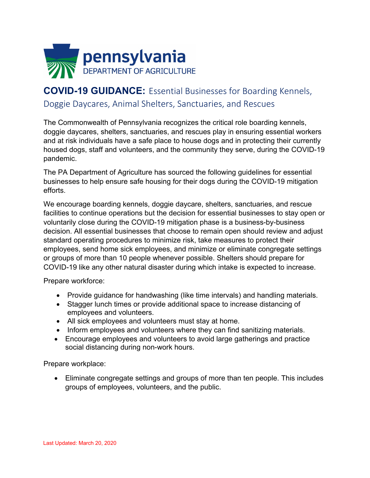

## **COVID-19 GUIDANCE:** Essential Businesses for Boarding Kennels, Doggie Daycares, Animal Shelters, Sanctuaries, and Rescues

The Commonwealth of Pennsylvania recognizes the critical role boarding kennels, doggie daycares, shelters, sanctuaries, and rescues play in ensuring essential workers and at risk individuals have a safe place to house dogs and in protecting their currently housed dogs, staff and volunteers, and the community they serve, during the COVID-19 pandemic.

The PA Department of Agriculture has sourced the following guidelines for essential businesses to help ensure safe housing for their dogs during the COVID-19 mitigation efforts.

We encourage boarding kennels, doggie daycare, shelters, sanctuaries, and rescue facilities to continue operations but the decision for essential businesses to stay open or voluntarily close during the COVID-19 mitigation phase is a business-by-business decision. All essential businesses that choose to remain open should review and adjust standard operating procedures to minimize risk, take measures to protect their employees, send home sick employees, and minimize or eliminate congregate settings or groups of more than 10 people whenever possible. Shelters should prepare for COVID-19 like any other natural disaster during which intake is expected to increase.

Prepare workforce:

- Provide guidance for handwashing (like time intervals) and handling materials.
- Stagger lunch times or provide additional space to increase distancing of employees and volunteers.
- All sick employees and volunteers must stay at home.
- Inform employees and volunteers where they can find sanitizing materials.
- Encourage employees and volunteers to avoid large gatherings and practice social distancing during non-work hours.

Prepare workplace:

• Eliminate congregate settings and groups of more than ten people. This includes groups of employees, volunteers, and the public.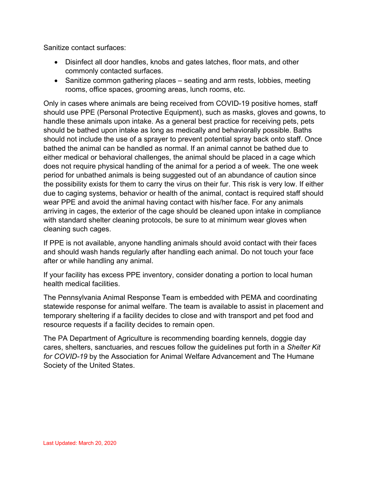Sanitize contact surfaces:

- Disinfect all door handles, knobs and gates latches, floor mats, and other commonly contacted surfaces.
- Sanitize common gathering places seating and arm rests, lobbies, meeting rooms, office spaces, grooming areas, lunch rooms, etc.

Only in cases where animals are being received from COVID-19 positive homes, staff should use PPE (Personal Protective Equipment), such as masks, gloves and gowns, to handle these animals upon intake. As a general best practice for receiving pets, pets should be bathed upon intake as long as medically and behaviorally possible. Baths should not include the use of a sprayer to prevent potential spray back onto staff. Once bathed the animal can be handled as normal. If an animal cannot be bathed due to either medical or behavioral challenges, the animal should be placed in a cage which does not require physical handling of the animal for a period a of week. The one week period for unbathed animals is being suggested out of an abundance of caution since the possibility exists for them to carry the virus on their fur. This risk is very low. If either due to caging systems, behavior or health of the animal, contact is required staff should wear PPE and avoid the animal having contact with his/her face. For any animals arriving in cages, the exterior of the cage should be cleaned upon intake in compliance with standard shelter cleaning protocols, be sure to at minimum wear gloves when cleaning such cages.

If PPE is not available, anyone handling animals should avoid contact with their faces and should wash hands regularly after handling each animal. Do not touch your face after or while handling any animal.

If your facility has excess PPE inventory, consider donating a portion to local human health medical facilities.

The Pennsylvania Animal Response Team is embedded with PEMA and coordinating statewide response for animal welfare. The team is available to assist in placement and temporary sheltering if a facility decides to close and with transport and pet food and resource requests if a facility decides to remain open.

The PA Department of Agriculture is recommending boarding kennels, doggie day cares, shelters, sanctuaries, and rescues follow the guidelines put forth in a *Shelter Kit for COVID-19* by the Association for Animal Welfare Advancement and The Humane Society of the United States.